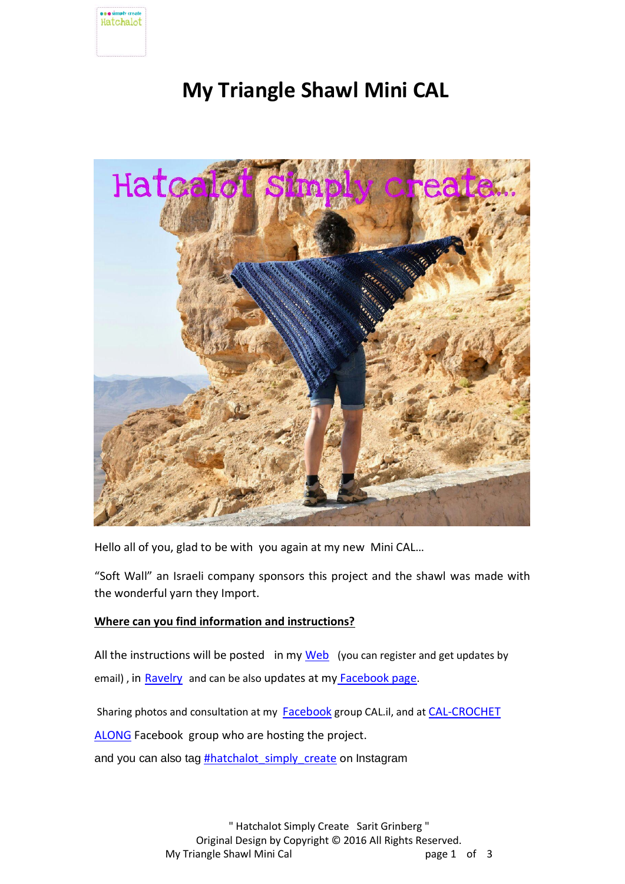

# **My Triangle Shawl Mini CAL**



Hello all of you, glad to be with you again at my new Mini CAL…

"Soft Wall" an Israeli company sponsors this project and the shawl was made with the wonderful yarn they Import.

## **Where can you find information and instructions?**

All the instructions will be posted in my [Web](http://hatchalotsarit.co.il/) (you can register and get updates by email), i[n](http://www.ravelry.com/people/saritgrinberg) [Ravelry](http://www.ravelry.com/people/saritgrinberg) and can be also updates at my [Facebook page](https://www.facebook.com/hatchalotsarit/).

Sharing photos and consultation at my [Facebook](https://www.facebook.com/groups/1695414864015506/?fref=ts) group CAL.il, and at CAL-CROCHET

[ALONG](https://www.facebook.com/groups/668646249929007/?fref=ts) Facebook group who are hosting the project.

and you can also tag **#hatchalot** simply create on Instagram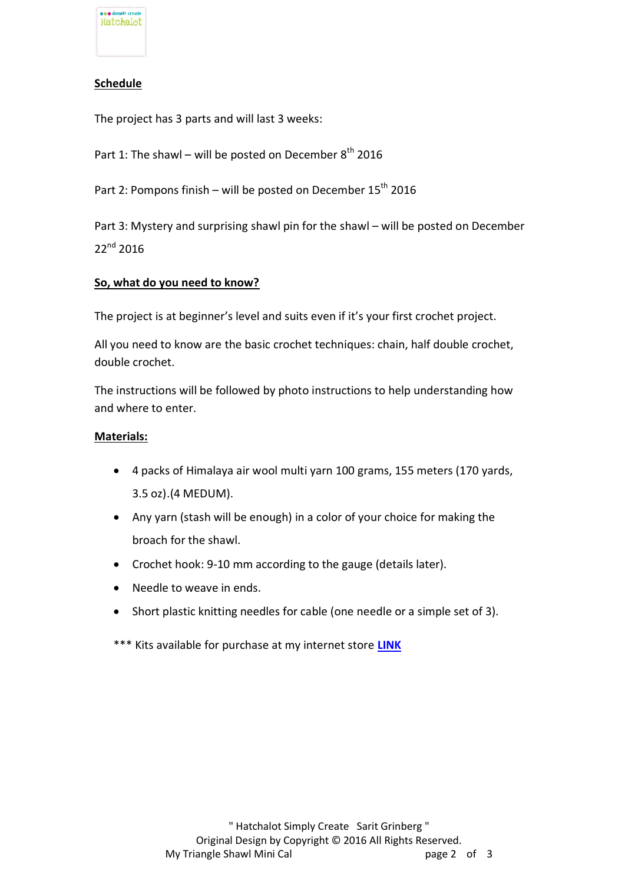

## **Schedule**

The project has 3 parts and will last 3 weeks:

Part 1: The shawl – will be posted on December  $8<sup>th</sup>$  2016

Part 2: Pompons finish – will be posted on December  $15<sup>th</sup>$  2016

Part 3: Mystery and surprising shawl pin for the shawl – will be posted on December 22<sup>nd</sup> 2016

## **So, what do you need to know?**

The project is at beginner's level and suits even if it's your first crochet project.

All you need to know are the basic crochet techniques: chain, half double crochet, double crochet.

The instructions will be followed by photo instructions to help understanding how and where to enter.

#### **Materials:**

- 4 packs of Himalaya air wool multi yarn 100 grams, 155 meters (170 yards, 3.5 oz).(4 MEDUM).
- Any yarn (stash will be enough) in a color of your choice for making the broach for the shawl.
- Crochet hook: 9-10 mm according to the gauge (details later).
- Needle to weave in ends.
- Short plastic knitting needles for cable (one needle or a simple set of 3).
- \*\*\* Kits available for purchase at my internet store **[LINK](http://hatchalotsarit.co.il/product/my-triangle-shawl-cal-yarn-kit-international-shipping/)**